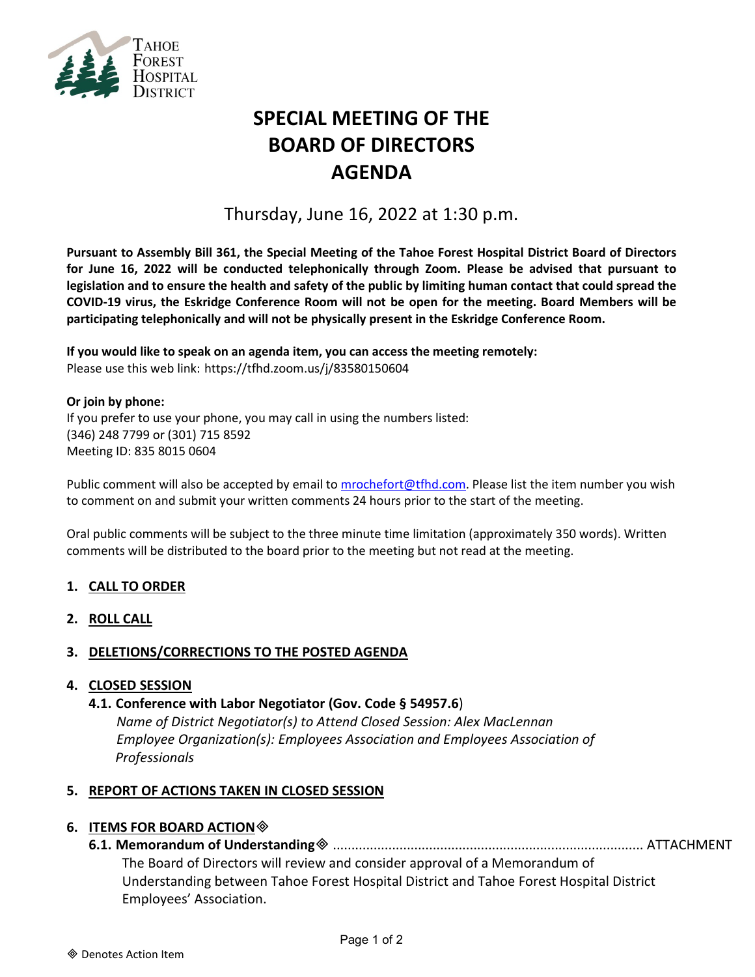

# **SPECIAL MEETING OF THE BOARD OF DIRECTORS AGENDA**

Thursday, June 16, 2022 at 1:30 p.m.

**Pursuant to Assembly Bill 361, the Special Meeting of the Tahoe Forest Hospital District Board of Directors for June 16, 2022 will be conducted telephonically through Zoom. Please be advised that pursuant to legislation and to ensure the health and safety of the public by limiting human contact that could spread the COVID-19 virus, the Eskridge Conference Room will not be open for the meeting. Board Members will be participating telephonically and will not be physically present in the Eskridge Conference Room.**

**If you would like to speak on an agenda item, you can access the meeting remotely:** Please use this web link: <https://tfhd.zoom.us/j/83580150604>

#### **Or join by phone:**

If you prefer to use your phone, you may call in using the numbers listed: (346) 248 7799 or (301) 715 8592 Meeting ID: 835 8015 0604

Public comment will also be accepted by email to [mrochefort@tfhd.com.](mailto:mrochefort@tfhd.com) Please list the item number you wish to comment on and submit your written comments 24 hours prior to the start of the meeting.

Oral public comments will be subject to the three minute time limitation (approximately 350 words). Written comments will be distributed to the board prior to the meeting but not read at the meeting.

### **1. CALL TO ORDER**

**2. ROLL CALL**

### **3. DELETIONS/CORRECTIONS TO THE POSTED AGENDA**

### **4. CLOSED SESSION**

### **4.1. Conference with Labor Negotiator (Gov. Code § 54957.6**)

*Name of District Negotiator(s) to Attend Closed Session: Alex MacLennan Employee Organization(s): Employees Association and Employees Association of Professionals*

### **5. REPORT OF ACTIONS TAKEN IN CLOSED SESSION**

### **6. ITEMS FOR BOARD ACTION**

**6.1. Memorandum of Understanding** .................................................................................... ATTACHMENT

The Board of Directors will review and consider approval of a Memorandum of Understanding between Tahoe Forest Hospital District and Tahoe Forest Hospital District Employees' Association.